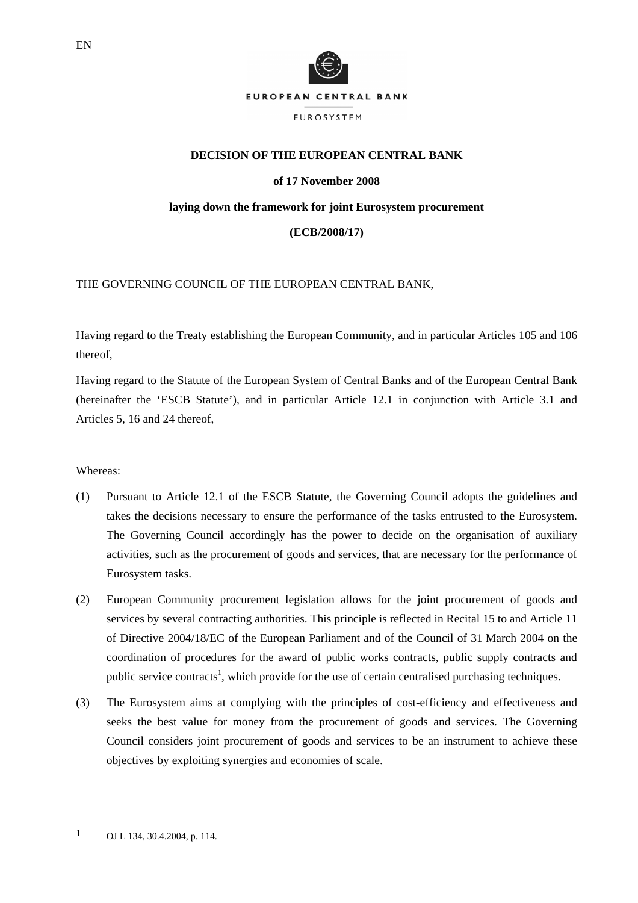

## **DECISION OF THE EUROPEAN CENTRAL BANK**

## **of 17 November 2008**

### **laying down the framework for joint Eurosystem procurement**

## **(ECB/2008/17)**

# THE GOVERNING COUNCIL OF THE EUROPEAN CENTRAL BANK,

Having regard to the Treaty establishing the European Community, and in particular Articles 105 and 106 thereof,

Having regard to the Statute of the European System of Central Banks and of the European Central Bank (hereinafter the 'ESCB Statute'), and in particular Article 12.1 in conjunction with Article 3.1 and Articles 5, 16 and 24 thereof,

### Whereas:

- (1) Pursuant to Article 12.1 of the ESCB Statute, the Governing Council adopts the guidelines and takes the decisions necessary to ensure the performance of the tasks entrusted to the Eurosystem. The Governing Council accordingly has the power to decide on the organisation of auxiliary activities, such as the procurement of goods and services, that are necessary for the performance of Eurosystem tasks.
- (2) European Community procurement legislation allows for the joint procurement of goods and services by several contracting authorities. This principle is reflected in Recital 15 to and Article 11 of Directive 2004/18/EC of the European Parliament and of the Council of 31 March 2004 on the coordination of procedures for the award of public works contracts, public supply contracts and public service contracts<sup>1</sup>, which provide for the use of certain centralised purchasing techniques.
- (3) The Eurosystem aims at complying with the principles of cost-efficiency and effectiveness and seeks the best value for money from the procurement of goods and services. The Governing Council considers joint procurement of goods and services to be an instrument to achieve these objectives by exploiting synergies and economies of scale.

l

<sup>1</sup> OJ L 134, 30.4.2004, p. 114.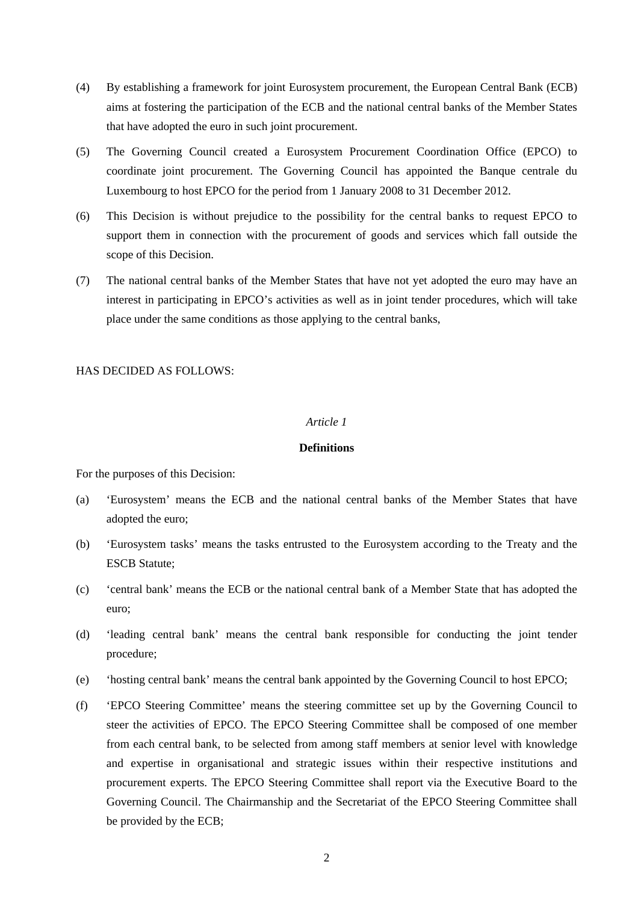- (4) By establishing a framework for joint Eurosystem procurement, the European Central Bank (ECB) aims at fostering the participation of the ECB and the national central banks of the Member States that have adopted the euro in such joint procurement.
- (5) The Governing Council created a Eurosystem Procurement Coordination Office (EPCO) to coordinate joint procurement. The Governing Council has appointed the Banque centrale du Luxembourg to host EPCO for the period from 1 January 2008 to 31 December 2012.
- (6) This Decision is without prejudice to the possibility for the central banks to request EPCO to support them in connection with the procurement of goods and services which fall outside the scope of this Decision.
- (7) The national central banks of the Member States that have not yet adopted the euro may have an interest in participating in EPCO's activities as well as in joint tender procedures, which will take place under the same conditions as those applying to the central banks,

#### HAS DECIDED AS FOLLOWS:

#### *Article 1*

#### **Definitions**

For the purposes of this Decision:

- (a) 'Eurosystem' means the ECB and the national central banks of the Member States that have adopted the euro;
- (b) 'Eurosystem tasks' means the tasks entrusted to the Eurosystem according to the Treaty and the ESCB Statute;
- (c) 'central bank' means the ECB or the national central bank of a Member State that has adopted the euro;
- (d) 'leading central bank' means the central bank responsible for conducting the joint tender procedure;
- (e) 'hosting central bank' means the central bank appointed by the Governing Council to host EPCO;
- (f) 'EPCO Steering Committee' means the steering committee set up by the Governing Council to steer the activities of EPCO. The EPCO Steering Committee shall be composed of one member from each central bank, to be selected from among staff members at senior level with knowledge and expertise in organisational and strategic issues within their respective institutions and procurement experts. The EPCO Steering Committee shall report via the Executive Board to the Governing Council. The Chairmanship and the Secretariat of the EPCO Steering Committee shall be provided by the ECB;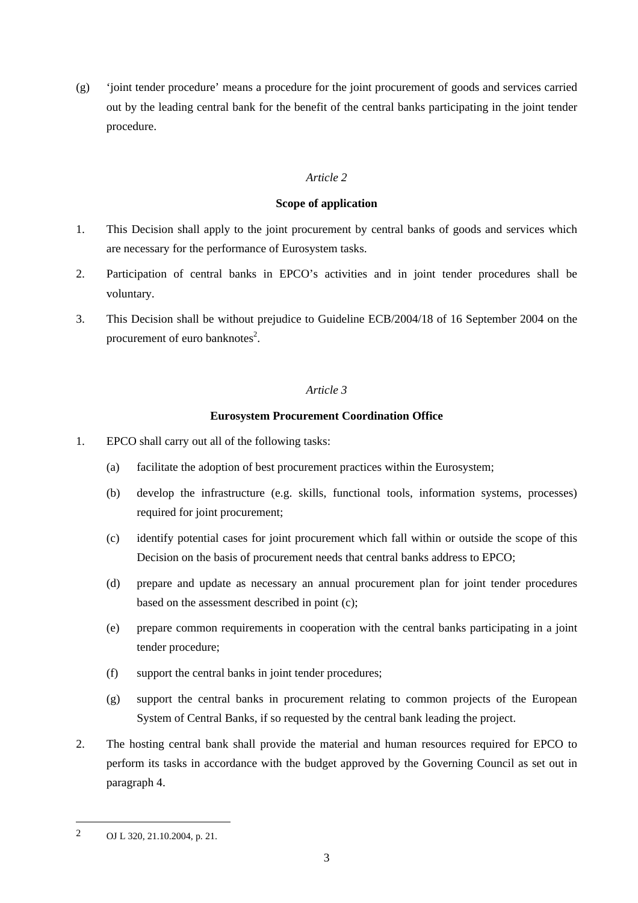(g) 'joint tender procedure' means a procedure for the joint procurement of goods and services carried out by the leading central bank for the benefit of the central banks participating in the joint tender procedure.

# *Article 2*

## **Scope of application**

- 1. This Decision shall apply to the joint procurement by central banks of goods and services which are necessary for the performance of Eurosystem tasks.
- 2. Participation of central banks in EPCO's activities and in joint tender procedures shall be voluntary.
- 3. This Decision shall be without prejudice to Guideline ECB/2004/18 of 16 September 2004 on the procurement of euro banknotes<sup>2</sup>.

## *Article 3*

## **Eurosystem Procurement Coordination Office**

- 1. EPCO shall carry out all of the following tasks:
	- (a) facilitate the adoption of best procurement practices within the Eurosystem;
	- (b) develop the infrastructure (e.g. skills, functional tools, information systems, processes) required for joint procurement;
	- (c) identify potential cases for joint procurement which fall within or outside the scope of this Decision on the basis of procurement needs that central banks address to EPCO;
	- (d) prepare and update as necessary an annual procurement plan for joint tender procedures based on the assessment described in point (c);
	- (e) prepare common requirements in cooperation with the central banks participating in a joint tender procedure;
	- (f) support the central banks in joint tender procedures;
	- (g) support the central banks in procurement relating to common projects of the European System of Central Banks, if so requested by the central bank leading the project.
- 2. The hosting central bank shall provide the material and human resources required for EPCO to perform its tasks in accordance with the budget approved by the Governing Council as set out in paragraph 4.

l

<sup>2</sup> OJ L 320, 21.10.2004, p. 21.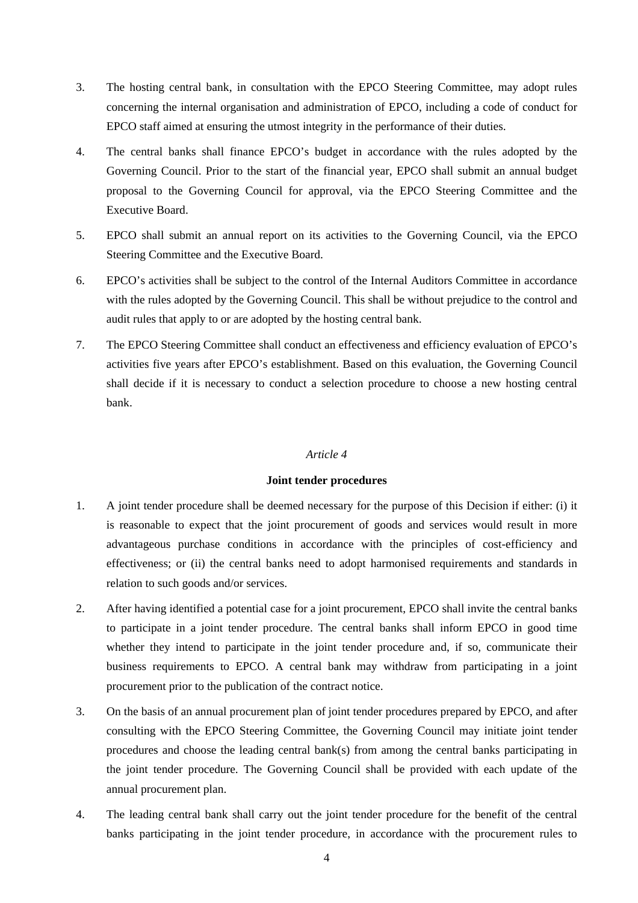- 3. The hosting central bank, in consultation with the EPCO Steering Committee, may adopt rules concerning the internal organisation and administration of EPCO, including a code of conduct for EPCO staff aimed at ensuring the utmost integrity in the performance of their duties.
- 4. The central banks shall finance EPCO's budget in accordance with the rules adopted by the Governing Council. Prior to the start of the financial year, EPCO shall submit an annual budget proposal to the Governing Council for approval, via the EPCO Steering Committee and the Executive Board.
- 5. EPCO shall submit an annual report on its activities to the Governing Council, via the EPCO Steering Committee and the Executive Board.
- 6. EPCO's activities shall be subject to the control of the Internal Auditors Committee in accordance with the rules adopted by the Governing Council. This shall be without prejudice to the control and audit rules that apply to or are adopted by the hosting central bank.
- 7. The EPCO Steering Committee shall conduct an effectiveness and efficiency evaluation of EPCO's activities five years after EPCO's establishment. Based on this evaluation, the Governing Council shall decide if it is necessary to conduct a selection procedure to choose a new hosting central bank.

## *Article 4*

# **Joint tender procedures**

- 1. A joint tender procedure shall be deemed necessary for the purpose of this Decision if either: (i) it is reasonable to expect that the joint procurement of goods and services would result in more advantageous purchase conditions in accordance with the principles of cost-efficiency and effectiveness; or (ii) the central banks need to adopt harmonised requirements and standards in relation to such goods and/or services.
- 2. After having identified a potential case for a joint procurement, EPCO shall invite the central banks to participate in a joint tender procedure. The central banks shall inform EPCO in good time whether they intend to participate in the joint tender procedure and, if so, communicate their business requirements to EPCO. A central bank may withdraw from participating in a joint procurement prior to the publication of the contract notice.
- 3. On the basis of an annual procurement plan of joint tender procedures prepared by EPCO, and after consulting with the EPCO Steering Committee, the Governing Council may initiate joint tender procedures and choose the leading central bank(s) from among the central banks participating in the joint tender procedure. The Governing Council shall be provided with each update of the annual procurement plan.
- 4. The leading central bank shall carry out the joint tender procedure for the benefit of the central banks participating in the joint tender procedure, in accordance with the procurement rules to